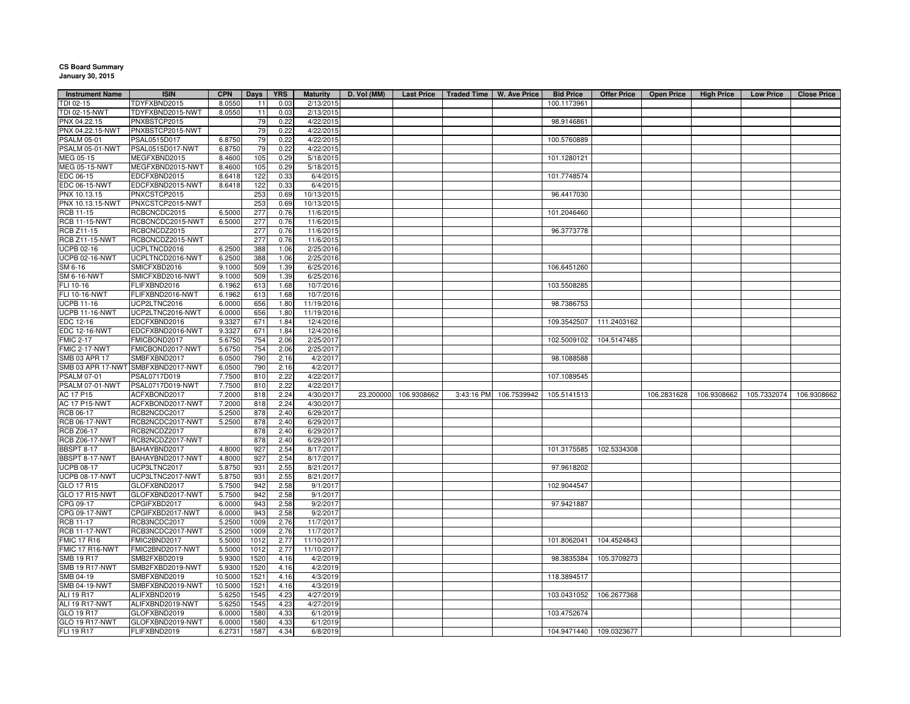## **CS Board Summary January 30, 2015**

| <b>Instrument Name</b> | <b>ISIN</b>                        | <b>CPN</b> | <b>Days</b> | <b>YRS</b> | <b>Maturity</b> | D. Vol (MM) | <b>Last Price</b>     | Traded Time   W. Ave Price |             | <b>Bid Price</b> | <b>Offer Price</b>      | <b>Open Price</b> | <b>High Price</b> | <b>Low Price</b> | <b>Close Price</b> |
|------------------------|------------------------------------|------------|-------------|------------|-----------------|-------------|-----------------------|----------------------------|-------------|------------------|-------------------------|-------------------|-------------------|------------------|--------------------|
| TDI 02-15              | TDYFXBND2015                       | 8.0550     | 11          | 0.03       | 2/13/2015       |             |                       |                            |             | 100.1173961      |                         |                   |                   |                  |                    |
| TDI 02-15-NWT          | TDYFXBND2015-NWT                   | 8.0550     | 11          | 0.03       | 2/13/2015       |             |                       |                            |             |                  |                         |                   |                   |                  |                    |
| PNX 04.22.15           | PNXBSTCP2015                       |            | 79          | 0.22       | 4/22/2015       |             |                       |                            |             | 98.9146861       |                         |                   |                   |                  |                    |
| PNX 04.22.15-NWT       | PNXBSTCP2015-NWT                   |            | 79          | 0.22       | 4/22/2015       |             |                       |                            |             |                  |                         |                   |                   |                  |                    |
| <b>PSALM 05-01</b>     | PSAL0515D017                       | 6.8750     | 79          | 0.22       | 4/22/2015       |             |                       |                            |             | 100.5760889      |                         |                   |                   |                  |                    |
| PSALM 05-01-NWT        | PSAL0515D017-NWT                   | 6.8750     | 79          | 0.22       | 4/22/2015       |             |                       |                            |             |                  |                         |                   |                   |                  |                    |
| MEG 05-15              | MEGFXBND2015                       | 8.4600     | 105         | 0.29       | 5/18/2015       |             |                       |                            |             | 101.1280121      |                         |                   |                   |                  |                    |
| <b>MEG 05-15-NWT</b>   | MEGFXBND2015-NWT                   | 8.4600     | 105         | 0.29       | 5/18/2015       |             |                       |                            |             |                  |                         |                   |                   |                  |                    |
| EDC 06-15              | EDCFXBND2015                       | 8.6418     | 122         | 0.33       | 6/4/2015        |             |                       |                            |             | 101.7748574      |                         |                   |                   |                  |                    |
| EDC 06-15-NWT          | EDCFXBND2015-NWT                   | 8.6418     | 122         | 0.33       | 6/4/2015        |             |                       |                            |             |                  |                         |                   |                   |                  |                    |
| PNX 10.13.15           | PNXCSTCP2015                       |            | 253         | 0.69       | 10/13/2015      |             |                       |                            |             | 96.4417030       |                         |                   |                   |                  |                    |
| PNX 10.13.15-NWT       | PNXCSTCP2015-NWT                   |            | 253         | 0.69       | 10/13/2015      |             |                       |                            |             |                  |                         |                   |                   |                  |                    |
| RCB 11-15              | RCBCNCDC2015                       | 6.5000     | 277         | 0.76       | 11/6/2015       |             |                       |                            |             | 101.2046460      |                         |                   |                   |                  |                    |
| <b>RCB 11-15-NWT</b>   | RCBCNCDC2015-NWT                   | 6.5000     | 277         | 0.76       | 11/6/2015       |             |                       |                            |             |                  |                         |                   |                   |                  |                    |
| RCB Z11-15             | RCBCNCDZ2015                       |            | 277         | 0.76       | 11/6/2015       |             |                       |                            |             | 96.3773778       |                         |                   |                   |                  |                    |
| <b>RCB Z11-15-NWT</b>  | RCBCNCDZ2015-NWT                   |            | 277         | 0.76       | 11/6/2015       |             |                       |                            |             |                  |                         |                   |                   |                  |                    |
| UCPB 02-16             | UCPLTNCD2016                       | 6.2500     | 388         | 1.06       | 2/25/2016       |             |                       |                            |             |                  |                         |                   |                   |                  |                    |
| <b>UCPB 02-16-NWT</b>  | UCPLTNCD2016-NWT                   | 6.2500     | 388         | 1.06       | 2/25/2016       |             |                       |                            |             |                  |                         |                   |                   |                  |                    |
| SM 6-16                | SMICFXBD2016                       | 9.1000     | 509         | 1.39       | 6/25/2016       |             |                       |                            |             | 106.6451260      |                         |                   |                   |                  |                    |
| SM 6-16-NWT            | SMICFXBD2016-NWT                   | 9.1000     | 509         | 1.39       | 6/25/2016       |             |                       |                            |             |                  |                         |                   |                   |                  |                    |
| FLI 10-16              | FLIFXBND2016                       | 6.1962     | 613         | 1.68       | 10/7/2016       |             |                       |                            |             | 103.5508285      |                         |                   |                   |                  |                    |
| FLI 10-16-NWT          |                                    |            |             |            | 10/7/2016       |             |                       |                            |             |                  |                         |                   |                   |                  |                    |
|                        | FLIFXBND2016-NWT                   | 6.1962     | 613         | 1.68       |                 |             |                       |                            |             |                  |                         |                   |                   |                  |                    |
| <b>UCPB 11-16</b>      | UCP2LTNC2016                       | 6.0000     | 656         | 1.80       | 11/19/2016      |             |                       |                            |             | 98.7386753       |                         |                   |                   |                  |                    |
| <b>UCPB 11-16-NWT</b>  | UCP2LTNC2016-NWT                   | 6.0000     | 656         | 1.80       | 11/19/2016      |             |                       |                            |             |                  |                         |                   |                   |                  |                    |
| EDC 12-16              | EDCFXBND2016                       | 9.3327     | 671         | 1.84       | 12/4/2016       |             |                       |                            |             |                  | 109.3542507 111.2403162 |                   |                   |                  |                    |
| <b>EDC 12-16-NWT</b>   | EDCFXBND2016-NWT                   | 9.3327     | 671         | 1.84       | 12/4/2016       |             |                       |                            |             |                  |                         |                   |                   |                  |                    |
| <b>FMIC 2-17</b>       | FMICBOND2017                       | 5.6750     | 754         | 2.06       | 2/25/2017       |             |                       |                            |             |                  | 102.5009102 104.5147485 |                   |                   |                  |                    |
| FMIC 2-17-NWT          | FMICBOND2017-NWT                   | 5.6750     | 754         | 2.06       | 2/25/2017       |             |                       |                            |             |                  |                         |                   |                   |                  |                    |
| SMB 03 APR 17          | SMBFXBND2017                       | 6.0500     | 790         | 2.16       | 4/2/2017        |             |                       |                            |             | 98.1088588       |                         |                   |                   |                  |                    |
|                        | SMB 03 APR 17-NWT SMBFXBND2017-NWT | 6.0500     | 790         | 2.16       | 4/2/2017        |             |                       |                            |             |                  |                         |                   |                   |                  |                    |
| <b>PSALM 07-01</b>     | PSAL0717D019                       | 7.7500     | 810         | 2.22       | 4/22/2017       |             |                       |                            |             | 107.1089545      |                         |                   |                   |                  |                    |
| PSALM 07-01-NWT        | PSAL0717D019-NWT                   | 7.7500     | 810         | 2.22       | 4/22/2017       |             |                       |                            |             |                  |                         |                   |                   |                  |                    |
| AC 17 P15              | ACFXBOND2017                       | 7.2000     | 818         | 2.24       | 4/30/2017       |             | 23.200000 106.9308662 | 3:43:16 PM                 | 106.7539942 | 105.5141513      |                         | 106.2831628       | 106.9308662       | 105.7332074      | 106.9308662        |
| <b>AC 17 P15-NWT</b>   | ACFXBOND2017-NWT                   | 7.2000     | 818         | 2.24       | 4/30/2017       |             |                       |                            |             |                  |                         |                   |                   |                  |                    |
| RCB 06-17              | RCB2NCDC2017                       | 5.2500     | 878         | 2.40       | 6/29/2017       |             |                       |                            |             |                  |                         |                   |                   |                  |                    |
| <b>RCB 06-17-NWT</b>   | RCB2NCDC2017-NWT                   | 5.2500     | 878         | 2.40       | 6/29/2017       |             |                       |                            |             |                  |                         |                   |                   |                  |                    |
| RCB Z06-17             | RCB2NCDZ2017                       |            | 878         | 2.40       | 6/29/2017       |             |                       |                            |             |                  |                         |                   |                   |                  |                    |
| <b>RCB Z06-17-NWT</b>  | RCB2NCDZ2017-NWT                   |            | 878         | 2.40       | 6/29/2017       |             |                       |                            |             |                  |                         |                   |                   |                  |                    |
| <b>BBSPT 8-17</b>      | BAHAYBND2017                       | 4.8000     | 927         | 2.54       | 8/17/2017       |             |                       |                            |             |                  | 101.3175585 102.5334308 |                   |                   |                  |                    |
| BBSPT 8-17-NWT         | BAHAYBND2017-NWT                   | 4.8000     | 927         | 2.54       | 8/17/2017       |             |                       |                            |             |                  |                         |                   |                   |                  |                    |
| <b>UCPB 08-17</b>      | UCP3LTNC2017                       | 5.8750     | 931         | 2.55       | 8/21/2017       |             |                       |                            |             | 97.9618202       |                         |                   |                   |                  |                    |
| <b>UCPB 08-17-NWT</b>  | UCP3LTNC2017-NWT                   | 5.8750     | 931         | 2.55       | 8/21/2017       |             |                       |                            |             |                  |                         |                   |                   |                  |                    |
| GLO 17 R15             | GLOFXBND2017                       | 5.7500     | 942         | 2.58       | 9/1/2017        |             |                       |                            |             | 102.9044547      |                         |                   |                   |                  |                    |
| <b>GLO 17 R15-NWT</b>  | GLOFXBND2017-NWT                   | 5.7500     | 942         | 2.58       | 9/1/2017        |             |                       |                            |             |                  |                         |                   |                   |                  |                    |
| CPG 09-17              | CPGIFXBD2017                       | 6.0000     | 943         | 2.58       | 9/2/2017        |             |                       |                            |             | 97.9421887       |                         |                   |                   |                  |                    |
| CPG 09-17-NWT          | CPGIFXBD2017-NWT                   | 6.0000     | 943         | 2.58       | 9/2/2017        |             |                       |                            |             |                  |                         |                   |                   |                  |                    |
| RCB 11-17              | RCB3NCDC2017                       | 5.2500     | 1009        | 2.76       | 11/7/2017       |             |                       |                            |             |                  |                         |                   |                   |                  |                    |
| <b>RCB 11-17-NWT</b>   | RCB3NCDC2017-NWT                   | 5.2500     | 1009        | 2.76       | 11/7/2017       |             |                       |                            |             |                  |                         |                   |                   |                  |                    |
| <b>FMIC 17 R16</b>     | FMIC2BND2017                       | 5.5000     | 1012        | 2.77       | 11/10/2017      |             |                       |                            |             | 101.8062041      | 104.4524843             |                   |                   |                  |                    |
| FMIC 17 R16-NWT        | FMIC2BND2017-NWT                   | 5.5000     | 1012        | 2.77       | 11/10/2017      |             |                       |                            |             |                  |                         |                   |                   |                  |                    |
| <b>SMB 19 R17</b>      | SMB2FXBD2019                       | 5.9300     | 1520        | 4.16       | 4/2/2019        |             |                       |                            |             | 98.3835384       | 105.3709273             |                   |                   |                  |                    |
| <b>SMB 19 R17-NWT</b>  | SMB2FXBD2019-NWT                   | 5.9300     | 1520        | 4.16       | 4/2/2019        |             |                       |                            |             |                  |                         |                   |                   |                  |                    |
| SMB 04-19              | SMBFXBND2019                       | 10.5000    | 1521        | 4.16       | 4/3/2019        |             |                       |                            |             | 118.3894517      |                         |                   |                   |                  |                    |
| <b>SMB 04-19-NWT</b>   | SMBFXBND2019-NWT                   | 10.5000    | 1521        | 4.16       | 4/3/2019        |             |                       |                            |             |                  |                         |                   |                   |                  |                    |
| ALI 19 R17             | ALIFXBND2019                       | 5.6250     | 1545        | 4.23       | 4/27/2019       |             |                       |                            |             |                  | 103.0431052 106.2677368 |                   |                   |                  |                    |
| ALI 19 R17-NWT         | ALIFXBND2019-NWT                   | 5.6250     | 1545        | 4.23       | 4/27/2019       |             |                       |                            |             |                  |                         |                   |                   |                  |                    |
| GLO 19 R17             | GLOFXBND2019                       | 6.0000     | 1580        | 4.33       | 6/1/2019        |             |                       |                            |             | 103.4752674      |                         |                   |                   |                  |                    |
| <b>GLO 19 R17-NWT</b>  | GLOFXBND2019-NWT                   | 6.0000     | 1580        | 4.33       | 6/1/2019        |             |                       |                            |             |                  |                         |                   |                   |                  |                    |
| <b>FLI 19 R17</b>      | FLIFXBND2019                       | 6.2731     | 1587        | 4.34       | 6/8/2019        |             |                       |                            |             |                  | 104.9471440 109.0323677 |                   |                   |                  |                    |
|                        |                                    |            |             |            |                 |             |                       |                            |             |                  |                         |                   |                   |                  |                    |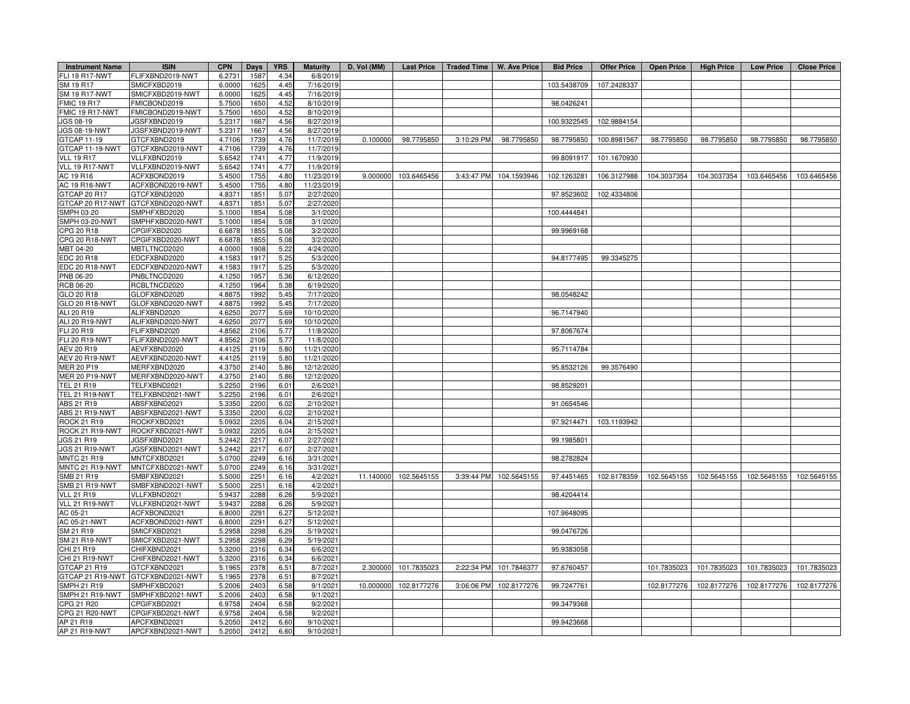| <b>Instrument Name</b> | <b>ISIN</b>                       | <b>CPN</b> | Days | <b>YRS</b> | <b>Maturity</b>          | D. Vol (MM) | <b>Last Price</b>     | Traded Time   W. Ave Price |                        | <b>Bid Price</b> | <b>Offer Price</b> | <b>Open Price</b> | <b>High Price</b>                               | <b>Low Price</b> | <b>Close Price</b> |
|------------------------|-----------------------------------|------------|------|------------|--------------------------|-------------|-----------------------|----------------------------|------------------------|------------------|--------------------|-------------------|-------------------------------------------------|------------------|--------------------|
| FLI 19 R17-NWT         | FLIFXBND2019-NWT                  | 6.273      | 1587 | 4.34       | 6/8/2019                 |             |                       |                            |                        |                  |                    |                   |                                                 |                  |                    |
| SM 19 R17              | SMICFXBD2019                      | 6.0000     | 1625 | 4.45       | 7/16/2019                |             |                       |                            |                        | 103.5438709      | 107.2428337        |                   |                                                 |                  |                    |
| <b>SM 19 R17-NWT</b>   | SMICFXBD2019-NWT                  | 6.0000     | 1625 | 4.45       | 7/16/2019                |             |                       |                            |                        |                  |                    |                   |                                                 |                  |                    |
| <b>FMIC 19 R17</b>     | FMICBOND2019                      | 5.750      | 1650 | 4.52       | 8/10/2019                |             |                       |                            |                        | 98.0426241       |                    |                   |                                                 |                  |                    |
| FMIC 19 R17-NWT        | FMICBOND2019-NWT                  | 5.7500     | 1650 | 4.52       | 8/10/2019                |             |                       |                            |                        |                  |                    |                   |                                                 |                  |                    |
| JGS 08-19              | JGSFXBND2019                      | 5.2317     | 1667 | 4.56       | 8/27/2019                |             |                       |                            |                        | 100.9322545      | 102.9884154        |                   |                                                 |                  |                    |
| JGS 08-19-NWT          | JGSFXBND2019-NWT                  | 5.231      | 1667 | 4.56       | 8/27/2019                |             |                       |                            |                        |                  |                    |                   |                                                 |                  |                    |
| GTCAP 11-19            | GTCFXBND2019                      | 4.7106     | 1739 | 4.76       | 11/7/2019                | 0.100000    | 98.7795850            | 3:10:29 PM                 | 98.7795850             | 98.7795850       | 100.8981567        | 98.7795850        | 98.7795850                                      | 98.7795850       | 98.7795850         |
| GTCAP 11-19-NWT        | GTCFXBND2019-NWT                  | 4.7106     | 1739 | 4.76       | 11/7/2019                |             |                       |                            |                        |                  |                    |                   |                                                 |                  |                    |
| <b>VLL 19 R17</b>      | VLLFXBND2019                      | 5.6542     | 1741 | 4.77       | 11/9/2019                |             |                       |                            |                        | 99.8091917       | 101.1670930        |                   |                                                 |                  |                    |
| VLL 19 R17-NWT         | VLLFXBND2019-NWT                  | 5.6542     | 1741 | 4.77       | 11/9/2019                |             |                       |                            |                        |                  |                    |                   |                                                 |                  |                    |
| AC 19 R16              | ACFXBOND2019                      | 5.450      | 1755 | 4.80       | 11/23/2019               | 9.000000    | 103.6465456           |                            | 3:43:47 PM 104.1593946 | 102.1263281      | 106.3127988        | 104.3037354       | 104.3037354                                     | 103.6465456      | 103.6465456        |
| <b>AC 19 R16-NWT</b>   | ACFXBOND2019-NWT                  | 5.4500     | 1755 | 4.80       | 11/23/2019               |             |                       |                            |                        |                  |                    |                   |                                                 |                  |                    |
| GTCAP 20 R17           | GTCFXBND2020                      | 4.8371     | 1851 | 5.07       | 2/27/2020                |             |                       |                            |                        | 97.9523602       | 102.4334806        |                   |                                                 |                  |                    |
|                        | GTCAP 20 R17-NWT GTCFXBND2020-NWT | 4.837      | 1851 | 5.07       | 2/27/2020                |             |                       |                            |                        |                  |                    |                   |                                                 |                  |                    |
| SMPH 03-20             | SMPHFXBD2020                      | 5.1000     | 1854 | 5.08       | 3/1/2020                 |             |                       |                            |                        | 100.4444841      |                    |                   |                                                 |                  |                    |
| SMPH 03-20-NWT         | SMPHFXBD2020-NWT                  | 5.100      | 1854 | 5.08       | 3/1/2020                 |             |                       |                            |                        |                  |                    |                   |                                                 |                  |                    |
| CPG 20 R18             | CPGIFXBD2020                      | 6.6878     | 1855 | 5.08       | 3/2/2020                 |             |                       |                            |                        | 99.9969168       |                    |                   |                                                 |                  |                    |
| CPG 20 R18-NWT         | CPGIFXBD2020-NWT                  | 6.6878     | 1855 | 5.08       | 3/2/2020                 |             |                       |                            |                        |                  |                    |                   |                                                 |                  |                    |
| MBT 04-20              | MBTLTNCD2020                      | 4.000      | 1908 | 5.22       | 4/24/2020                |             |                       |                            |                        |                  |                    |                   |                                                 |                  |                    |
| EDC 20 R18             | EDCFXBND2020                      | 4.1583     | 1917 | 5.25       | 5/3/2020                 |             |                       |                            |                        | 94.8177495       | 99.3345275         |                   |                                                 |                  |                    |
| EDC 20 R18-NWT         | EDCFXBND2020-NWT                  | 4.1583     | 1917 | 5.25       | 5/3/2020                 |             |                       |                            |                        |                  |                    |                   |                                                 |                  |                    |
| PNB 06-20              | PNBLTNCD2020                      | 4.1250     | 1957 | 5.36       | 6/12/2020                |             |                       |                            |                        |                  |                    |                   |                                                 |                  |                    |
| <b>RCB 06-20</b>       | RCBLTNCD2020                      | 4.1250     | 1964 | 5.38       | 6/19/2020                |             |                       |                            |                        |                  |                    |                   |                                                 |                  |                    |
| GLO 20 R18             | GLOFXBND2020                      | 4.887      | 1992 | 5.45       | 7/17/2020                |             |                       |                            |                        | 98.0548242       |                    |                   |                                                 |                  |                    |
| GLO 20 R18-NWT         | GLOFXBND2020-NWT                  | 4.8875     | 1992 | 5.45       | 7/17/2020                |             |                       |                            |                        |                  |                    |                   |                                                 |                  |                    |
| ALI 20 R19             | ALIFXBND2020                      | 4.625      | 2077 | 5.69       | 10/10/2020               |             |                       |                            |                        | 96.7147940       |                    |                   |                                                 |                  |                    |
| ALI 20 R19-NWT         | ALIFXBND2020-NWT                  | 4.6250     | 2077 | 5.69       | 10/10/2020               |             |                       |                            |                        |                  |                    |                   |                                                 |                  |                    |
| FLI 20 R19             | FLIFXBND2020                      | 4.8562     | 2106 | 5.77       | 11/8/2020                |             |                       |                            |                        | 97.8067674       |                    |                   |                                                 |                  |                    |
| <b>FLI 20 R19-NWT</b>  | FLIFXBND2020-NWT                  | 4.8562     | 2106 | 5.77       | 11/8/2020                |             |                       |                            |                        |                  |                    |                   |                                                 |                  |                    |
| AEV 20 R19             | AEVFXBND2020                      | 4.4125     | 2119 | 5.80       | 11/21/2020               |             |                       |                            |                        | 95.7114784       |                    |                   |                                                 |                  |                    |
| AEV 20 R19-NWT         |                                   | 4.4125     | 2119 | 5.80       |                          |             |                       |                            |                        |                  |                    |                   |                                                 |                  |                    |
| <b>MER 20 P19</b>      | AEVFXBND2020-NWT<br>MERFXBND2020  | 4.3750     | 2140 | 5.86       | 11/21/2020<br>12/12/2020 |             |                       |                            |                        | 95.8532126       | 99.3576490         |                   |                                                 |                  |                    |
| <b>MER 20 P19-NWT</b>  | MERFXBND2020-NWT                  | 4.3750     | 2140 | 5.86       |                          |             |                       |                            |                        |                  |                    |                   |                                                 |                  |                    |
| <b>TEL 21 R19</b>      | TELFXBND2021                      | 5.2250     | 2196 | 6.01       | 12/12/2020<br>2/6/2021   |             |                       |                            |                        | 98.8529201       |                    |                   |                                                 |                  |                    |
| <b>TEL 21 R19-NWT</b>  | TELFXBND2021-NWT                  | 5.2250     | 2196 | 6.01       | 2/6/2021                 |             |                       |                            |                        |                  |                    |                   |                                                 |                  |                    |
| ABS 21 R19             | ABSFXBND2021                      | 5.3350     | 2200 | 6.02       | 2/10/2021                |             |                       |                            |                        | 91.0654546       |                    |                   |                                                 |                  |                    |
|                        |                                   |            |      | 6.02       |                          |             |                       |                            |                        |                  |                    |                   |                                                 |                  |                    |
| ABS 21 R19-NWT         | ABSFXBND2021-NWT                  | 5.3350     | 2200 |            | 2/10/2021                |             |                       |                            |                        |                  |                    |                   |                                                 |                  |                    |
| ROCK 21 R19            | ROCKFXBD2021                      | 5.0932     | 2205 | 6.04       | 2/15/2021                |             |                       |                            |                        | 97.9214471       | 103.1193942        |                   |                                                 |                  |                    |
| ROCK 21 R19-NWT        | ROCKFXBD2021-NWT                  | 5.0932     | 2205 | 6.04       | 2/15/2021                |             |                       |                            |                        |                  |                    |                   |                                                 |                  |                    |
| JGS 21 R19             | <b>JGSFXBND2021</b>               | 5.244      | 2217 | 6.07       | 2/27/2021                |             |                       |                            |                        | 99.1985801       |                    |                   |                                                 |                  |                    |
| JGS 21 R19-NWT         | JGSFXBND2021-NWT                  | 5.2442     | 2217 | 6.07       | 2/27/2021                |             |                       |                            |                        |                  |                    |                   |                                                 |                  |                    |
| <b>MNTC 21 R19</b>     | MNTCFXBD2021                      | 5.070      | 2249 | 6.16       | 3/31/2021                |             |                       |                            |                        | 98.2782824       |                    |                   |                                                 |                  |                    |
| MNTC 21 R19-NWT        | MNTCFXBD2021-NWT                  | 5.0700     | 2249 | 6.16       | 3/31/2021                |             |                       |                            |                        |                  |                    |                   |                                                 |                  |                    |
| SMB 21 R19             | SMBFXBND2021                      | 5.5000     | 2251 | 6.16       | 4/2/2021                 |             | 11.140000 102.5645155 |                            | 3:39:44 PM 102.5645155 | 97.4451465       |                    |                   | 102.6178359 102.5645155 102.5645155 102.5645155 |                  | 102.5645155        |
| <b>SMB 21 R19-NWT</b>  | SMBFXBND2021-NWT                  | 5.500      | 2251 | 6.16       | 4/2/2021                 |             |                       |                            |                        |                  |                    |                   |                                                 |                  |                    |
| <b>VLL 21 R19</b>      | VLLFXBND2021                      | 5.9437     | 2288 | 6.26       | 5/9/2021                 |             |                       |                            |                        | 98.4204414       |                    |                   |                                                 |                  |                    |
| VLL 21 R19-NWT         | VLLFXBND2021-NWT                  | 5.9437     | 2288 | 6.26       | 5/9/2021                 |             |                       |                            |                        |                  |                    |                   |                                                 |                  |                    |
| AC 05-21               | ACFXBOND2021                      | 6.800      | 2291 | 6.27       | 5/12/2021                |             |                       |                            |                        | 107.9648095      |                    |                   |                                                 |                  |                    |
| AC 05-21-NWT           | ACFXBOND2021-NWT                  | 6.8000     | 2291 | 6.27       | 5/12/2021                |             |                       |                            |                        |                  |                    |                   |                                                 |                  |                    |
| SM 21 R19              | SMICFXBD2021                      | 5.2958     | 2298 | 6.29       | 5/19/2021                |             |                       |                            |                        | 99.0476726       |                    |                   |                                                 |                  |                    |
| <b>SM 21 R19-NWT</b>   | SMICFXBD2021-NWT                  | 5.2958     | 2298 | 6.29       | 5/19/2021                |             |                       |                            |                        |                  |                    |                   |                                                 |                  |                    |
| CHI 21 R19             | CHIFXBND2021                      | 5.3200     | 2316 | 6.34       | 6/6/2021                 |             |                       |                            |                        | 95.9383058       |                    |                   |                                                 |                  |                    |
| CHI 21 R19-NWT         | CHIFXBND2021-NWT                  | 5.3200     | 2316 | 6.34       | 6/6/2021                 |             |                       |                            |                        |                  |                    |                   |                                                 |                  |                    |
| GTCAP 21 R19           | GTCFXBND2021                      | 5.1965     | 2378 | 6.51       | 8/7/2021                 | 2.300000    | 101.7835023           | 2:22:34 PM                 | 101.7846377            | 97.6760457       |                    | 101.7835023       | 101.7835023                                     | 101.7835023      | 101.7835023        |
|                        | GTCAP 21 R19-NWT GTCFXBND2021-NWT | 5.1965     | 2378 | 6.51       | 8/7/2021                 |             |                       |                            |                        |                  |                    |                   |                                                 |                  |                    |
| SMPH 21 R19            | SMPHFXBD2021                      | 5.2006     | 2403 | 6.58       | 9/1/2021                 | 10.000000   | 102.8177276           | 3:06:06 PM                 | 102.8177276            | 99.7247761       |                    | 102.8177276       | 102.8177276                                     | 102.8177276      | 102.8177276        |
| SMPH 21 R19-NWT        | SMPHFXBD2021-NWT                  | 5.2006     | 2403 | 6.58       | 9/1/2021                 |             |                       |                            |                        |                  |                    |                   |                                                 |                  |                    |
| CPG 21 R20             | CPGIFXBD2021                      | 6.9758     | 2404 | 6.58       | 9/2/2021                 |             |                       |                            |                        | 99.3479368       |                    |                   |                                                 |                  |                    |
| CPG 21 R20-NWT         | CPGIFXBD2021-NWT                  | 6.9758     | 2404 | 6.58       | 9/2/2021                 |             |                       |                            |                        |                  |                    |                   |                                                 |                  |                    |
| AP 21 R19              | APCFXBND2021                      | 5.2050     | 2412 | 6.60       | 9/10/2021                |             |                       |                            |                        | 99.9423668       |                    |                   |                                                 |                  |                    |
| AP 21 R19-NWT          | APCFXBND2021-NWT                  | 5.2050     | 2412 | 6.60       | 9/10/2021                |             |                       |                            |                        |                  |                    |                   |                                                 |                  |                    |